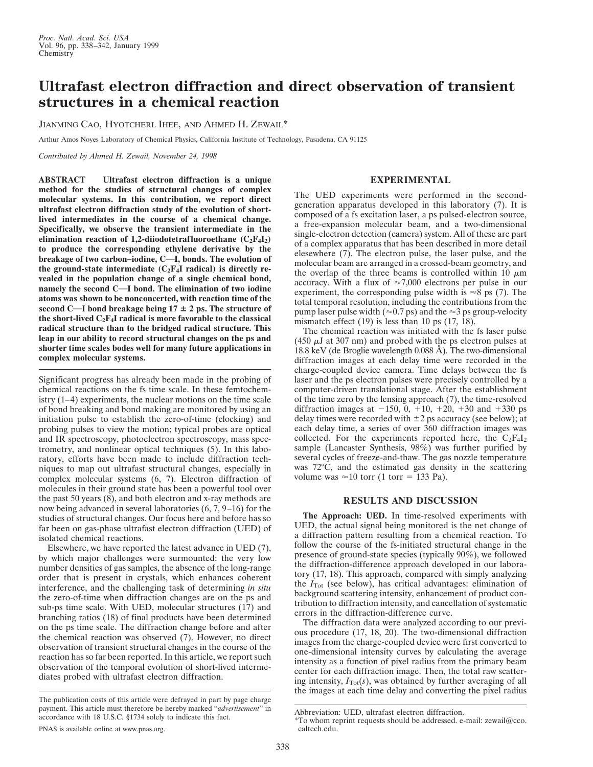## **Ultrafast electron diffraction and direct observation of transient structures in a chemical reaction**

JIANMING CAO, HYOTCHERL IHEE, AND AHMED H. ZEWAIL\*

Arthur Amos Noyes Laboratory of Chemical Physics, California Institute of Technology, Pasadena, CA 91125

*Contributed by Ahmed H. Zewail, November 24, 1998*

**ABSTRACT Ultrafast electron diffraction is a unique method for the studies of structural changes of complex molecular systems. In this contribution, we report direct ultrafast electron diffraction study of the evolution of shortlived intermediates in the course of a chemical change. Specifically, we observe the transient intermediate in the** elimination reaction of 1,2-diiodotetrafluoroethane  $(C_2F_4I_2)$ **to produce the corresponding ethylene derivative by the** breakage of two carbon-iodine, C-I, bonds. The evolution of the ground-state intermediate  $(C_2F_4I$  radical) is directly re**vealed in the population change of a single chemical bond, namely the second C-I bond. The elimination of two iodine atoms was shown to be nonconcerted, with reaction time of the second C—I bond breakage being 17**  $\pm$  2 ps. The structure of the short-lived  $C_2F_4I$  radical is more favorable to the classical **radical structure than to the bridged radical structure. This leap in our ability to record structural changes on the ps and shorter time scales bodes well for many future applications in complex molecular systems.**

Significant progress has already been made in the probing of chemical reactions on the fs time scale. In these femtochemistry (1–4) experiments, the nuclear motions on the time scale of bond breaking and bond making are monitored by using an initiation pulse to establish the zero-of-time (clocking) and probing pulses to view the motion; typical probes are optical and IR spectroscopy, photoelectron spectroscopy, mass spectrometry, and nonlinear optical techniques (5). In this laboratory, efforts have been made to include diffraction techniques to map out ultrafast structural changes, especially in complex molecular systems (6, 7). Electron diffraction of molecules in their ground state has been a powerful tool over the past 50 years (8), and both electron and x-ray methods are now being advanced in several laboratories (6, 7, 9–16) for the studies of structural changes. Our focus here and before has so far been on gas-phase ultrafast electron diffraction (UED) of isolated chemical reactions.

Elsewhere, we have reported the latest advance in UED (7), by which major challenges were surmounted: the very low number densities of gas samples, the absence of the long-range order that is present in crystals, which enhances coherent interference, and the challenging task of determining *in situ* the zero-of-time when diffraction changes are on the ps and sub-ps time scale. With UED, molecular structures (17) and branching ratios (18) of final products have been determined on the ps time scale. The diffraction change before and after the chemical reaction was observed (7). However, no direct observation of transient structural changes in the course of the reaction has so far been reported. In this article, we report such observation of the temporal evolution of short-lived intermediates probed with ultrafast electron diffraction.

## **EXPERIMENTAL**

The UED experiments were performed in the secondgeneration apparatus developed in this laboratory (7). It is composed of a fs excitation laser, a ps pulsed-electron source, a free-expansion molecular beam, and a two-dimensional single-electron detection (camera) system. All of these are part of a complex apparatus that has been described in more detail elesewhere (7). The electron pulse, the laser pulse, and the molecular beam are arranged in a crossed-beam geometry, and the overlap of the three beams is controlled within 10  $\mu$ m accuracy. With a flux of  $\approx 7,000$  electrons per pulse in our experiment, the corresponding pulse width is  $\approx 8$  ps (7). The total temporal resolution, including the contributions from the pump laser pulse width ( $\approx$  0.7 ps) and the  $\approx$  3 ps group-velocity mismatch effect  $(19)$  is less than 10 ps  $(17, 18)$ .

The chemical reaction was initiated with the fs laser pulse (450  $\mu$ J at 307 nm) and probed with the ps electron pulses at 18.8 keV (de Broglie wavelength 0.088 Å). The two-dimensional diffraction images at each delay time were recorded in the charge-coupled device camera. Time delays between the fs laser and the ps electron pulses were precisely controlled by a computer-driven translational stage. After the establishment of the time zero by the lensing approach (7), the time-resolved diffraction images at  $-150$ ,  $0$ ,  $+10$ ,  $+20$ ,  $+30$  and  $+330$  ps delay times were recorded with  $\pm 2$  ps accuracy (see below); at each delay time, a series of over 360 diffraction images was collected. For the experiments reported here, the  $C_2F_4I_2$ sample (Lancaster Synthesis, 98%) was further purified by several cycles of freeze-and-thaw. The gas nozzle temperature was 72°C, and the estimated gas density in the scattering volume was  $\approx 10$  torr (1 torr = 133 Pa).

## **RESULTS AND DISCUSSION**

**The Approach: UED.** In time-resolved experiments with UED, the actual signal being monitored is the net change of a diffraction pattern resulting from a chemical reaction. To follow the course of the fs-initiated structural change in the presence of ground-state species (typically 90%), we followed the diffraction-difference approach developed in our laboratory (17, 18). This approach, compared with simply analyzing the  $I_{\text{Tot}}$  (see below), has critical advantages: elimination of background scattering intensity, enhancement of product contribution to diffraction intensity, and cancellation of systematic errors in the diffraction-difference curve.

The diffraction data were analyzed according to our previous procedure (17, 18, 20). The two-dimensional diffraction images from the charge-coupled device were first converted to one-dimensional intensity curves by calculating the average intensity as a function of pixel radius from the primary beam center for each diffraction image. Then, the total raw scattering intensity,  $I_{\text{Tot}}(s)$ , was obtained by further averaging of all the images at each time delay and converting the pixel radius

The publication costs of this article were defrayed in part by page charge payment. This article must therefore be hereby marked ''*advertisement*'' in accordance with 18 U.S.C. §1734 solely to indicate this fact.

Abbreviation: UED, ultrafast electron diffraction.

<sup>\*</sup>To whom reprint requests should be addressed. e-mail: zewail@cco. caltech.edu.

PNAS is available online at www.pnas.org.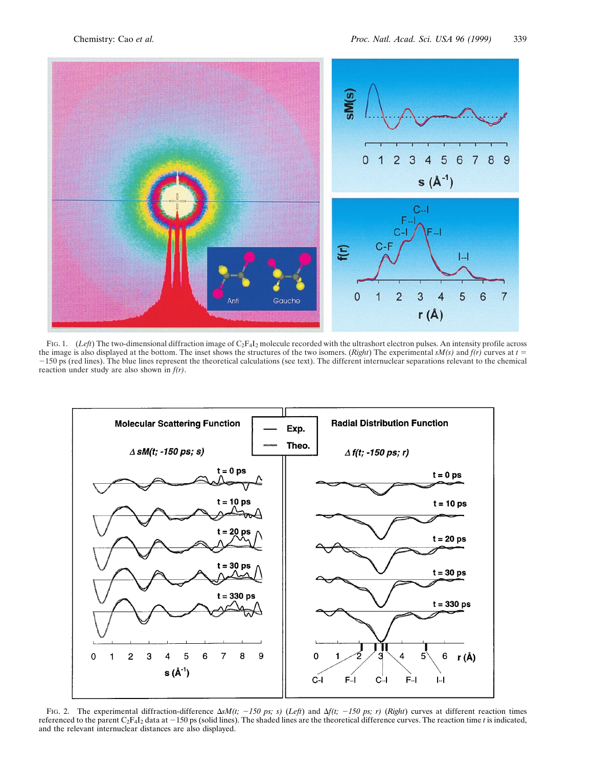

FIG. 1. (*Left*) The two-dimensional diffraction image of C2F4I2 molecule recorded with the ultrashort electron pulses. An intensity profile across the image is also displayed at the bottom. The inset shows the structures of the two isomers. (*Right*) The experimental  $sM(s)$  and  $f(r)$  curves at  $t =$ 2150 ps (red lines). The blue lines represent the theoretical calculations (see text). The different internuclear separations relevant to the chemical reaction under study are also shown in *f(r)*.



FIG. 2. The experimental diffraction-difference  $\Delta sM(t; -150 \text{ ps}; s)$  (*Left*) and  $\Delta f(t; -150 \text{ ps}; r)$  (*Right*) curves at different reaction times referenced to the parent C<sub>2</sub>F<sub>4</sub>I<sub>2</sub> data at  $-150$  ps (solid lines). The shaded lines are the theoretical difference curves. The reaction time *t* is indicated, and the relevant internuclear distances are also displayed.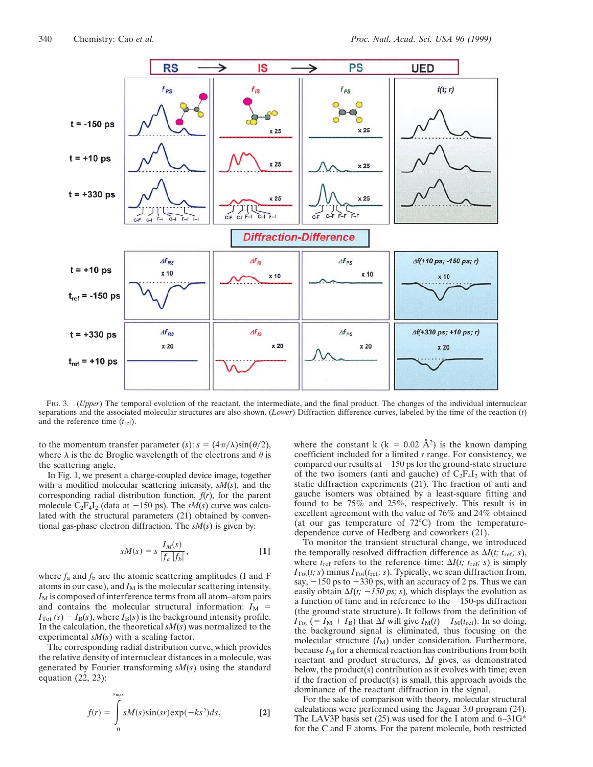

FIG. 3. (*Upper*) The temporal evolution of the reactant, the intermediate, and the final product. The changes of the individual internuclear separations and the associated molecular structures are also shown. (*Lower*) Diffraction difference curves, labeled by the time of the reaction (*t*) and the reference time (*t*ref).

to the momentum transfer parameter (*s*):  $s = (4\pi/\lambda)\sin(\theta/2)$ , where  $\lambda$  is the de Broglie wavelength of the electrons and  $\theta$  is the scattering angle.

In Fig. 1, we present a charge-coupled device image, together with a modified molecular scattering intensity, *sM*(*s*), and the corresponding radial distribution function, *f*(*r*), for the parent molecule  $C_2F_4I_2$  (data at  $-150$  ps). The *sM(s)* curve was calculated with the structural parameters (21) obtained by conventional gas-phase electron diffraction. The *sM*(*s*) is given by:

$$
sM(s) = s\,\frac{I_M(s)}{|f_a||f_b|},\tag{1}
$$

where  $f_a$  and  $f_b$  are the atomic scattering amplitudes (I and F atoms in our case), and  $I_M$  is the molecular scattering intensity. *I*M is composed of interference terms from all atom–atom pairs and contains the molecular structural information:  $I_M$  =  $I_{\text{Tot}}(s) - I_{\text{B}}(s)$ , where  $I_{\text{B}}(s)$  is the background intensity profile. In the calculation, the theoretical  $sM(s)$  was normalized to the experimental *sM*(*s*) with a scaling factor.

The corresponding radial distribution curve, which provides the relative density of internuclear distances in a molecule, was generated by Fourier transforming *sM*(*s*) using the standard equation  $(22, 23)$ :

$$
f(r) = \int_{0}^{s_{\text{max}}} sM(s)\sin(sr) \exp(-ks^2) ds,
$$
 [2]

where the constant k (k = 0.02 Å<sup>2</sup>) is the known damping coefficient included for a limited *s* range. For consistency, we compared our results at  $-150$  ps for the ground-state structure of the two isomers (anti and gauche) of  $C_2F_4I_2$  with that of static diffraction experiments (21). The fraction of anti and gauche isomers was obtained by a least-square fitting and found to be 75% and 25%, respectively. This result is in excellent agreement with the value of 76% and 24% obtained (at our gas temperature of 72°C) from the temperaturedependence curve of Hedberg and coworkers (21).

To monitor the transient structural change, we introduced the temporally resolved diffraction difference as  $\Delta I(t; t_{\text{ref}}; s)$ , where  $t_{\text{ref}}$  refers to the reference time:  $\Delta I(t; t_{\text{ref}}; s)$  is simply  $I_{\text{Tot}}(t; s)$  minus  $I_{\text{Tot}}(t_{\text{ref}}; s)$ . Typically, we scan diffraction from, say,  $-150$  ps to  $+330$  ps, with an accuracy of 2 ps. Thus we can easily obtain  $\Delta I(t; -150 \text{ ps}; s)$ , which displays the evolution as a function of time and in reference to the  $-150$ -ps diffraction (the ground state structure). It follows from the definition of  $I_{\text{Tot}}$  (=  $I_{\text{M}} + I_{\text{B}}$ ) that  $\Delta I$  will give  $I_{\text{M}}(t) - I_{\text{M}}(t_{\text{ref}})$ . In so doing, the background signal is eliminated, thus focusing on the molecular structure  $(I_M)$  under consideration. Furthermore, because  $I_M$  for a chemical reaction has contributions from both reactant and product structures,  $\Delta I$  gives, as demonstrated below, the product(s) contribution as it evolves with time; even if the fraction of product(s) is small, this approach avoids the dominance of the reactant diffraction in the signal.

For the sake of comparison with theory, molecular structural calculations were performed using the Jaguar 3.0 program (24). The LAV3P basis set  $(25)$  was used for the I atom and  $6-31G^*$ for the C and F atoms. For the parent molecule, both restricted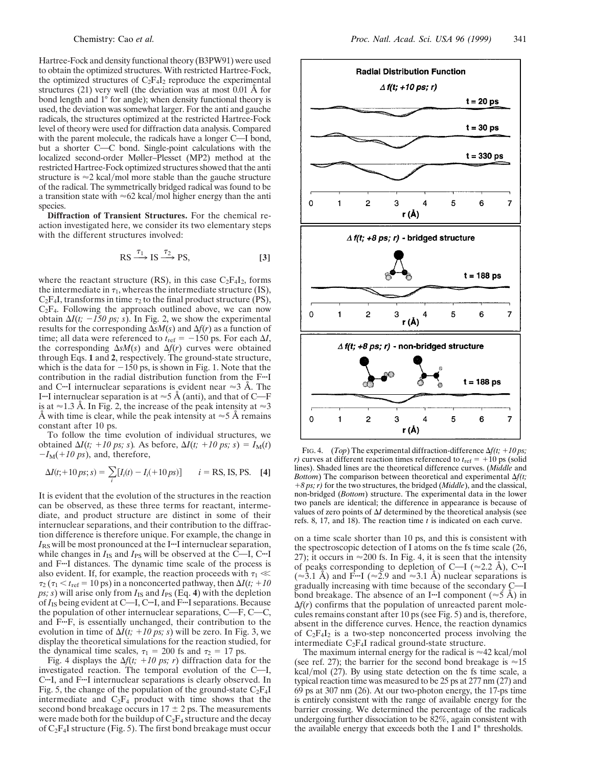Hartree-Fock and density functional theory (B3PW91) were used to obtain the optimized structures. With restricted Hartree-Fock, the optimized structures of  $C_2F_4I_2$  reproduce the experimental structures (21) very well (the deviation was at most  $0.01 \text{ Å}$  for bond length and 1° for angle); when density functional theory is used, the deviation was somewhat larger. For the anti and gauche radicals, the structures optimized at the restricted Hartree-Fock level of theory were used for diffraction data analysis. Compared with the parent molecule, the radicals have a longer  $C<sub>-I</sub>$  bond, but a shorter C-C bond. Single-point calculations with the localized second-order Møller–Plesset (MP2) method at the restricted Hartree-Fock optimized structures showed that the anti structure is  $\approx$  2 kcal/mol more stable than the gauche structure of the radical. The symmetrically bridged radical was found to be a transition state with  $\approx 62$  kcal/mol higher energy than the anti species.

**Diffraction of Transient Structures.** For the chemical reaction investigated here, we consider its two elementary steps with the different structures involved:

$$
RS \xrightarrow{\tau_1} IS \xrightarrow{\tau_2} PS,
$$
 [3]

where the reactant structure (RS), in this case  $C_2F_4I_2$ , forms the intermediate in  $\tau_1$ , whereas the intermediate structure (IS),  $C_2F_4I$ , transforms in time  $\tau_2$  to the final product structure (PS),  $C_2F_4$ . Following the approach outlined above, we can now obtain  $\Delta I(t; -150 \text{ ps}; s)$ . In Fig. 2, we show the experimental results for the corresponding  $\Delta sM(s)$  and  $\Delta f(r)$  as a function of time; all data were referenced to  $t_{ref} = -150$  ps. For each  $\Delta I$ , the corresponding  $\Delta sM(s)$  and  $\Delta f(r)$  curves were obtained through Eqs. **1** and **2**, respectively. The ground-state structure, which is the data for  $-150$  ps, is shown in Fig. 1. Note that the contribution in the radial distribution function from the F-I and C<sup> $\ldots$ </sup>I internuclear separations is evident near  $\approx$  3 Å. The I<sup>t-1</sup> internuclear separation is at  $\approx$  5 Å (anti), and that of C-F is at  $\approx$  1.3 Å. In Fig. 2, the increase of the peak intensity at  $\approx$  3 Å with time is clear, while the peak intensity at  $\approx$  5 Å remains constant after 10 ps.

To follow the time evolution of individual structures, we obtained  $\Delta I(t; +10 \text{ ps}; s)$ . As before,  $\Delta I(t; +10 \text{ ps}; s) = I_M(t)$  $-I<sub>M</sub>(+10 ps)$ , and, therefore,

$$
\Delta I(t; +10 \text{ ps}; s) = \sum_{i} [I_i(t) - I_i(+10 \text{ ps})] \qquad i = \text{RS, IS, PS.} \quad [4]
$$

It is evident that the evolution of the structures in the reaction can be observed, as these three terms for reactant, intermediate, and product structure are distinct in some of their internuclear separations, and their contribution to the diffraction difference is therefore unique. For example, the change in  $I_{RS}$  will be most pronounced at the I<sup> $\dots$ </sup>I internuclear separation, while changes in  $I_{IS}$  and  $I_{PS}$  will be observed at the C-I, C<sup> $\dots$ </sup>I and F-I distances. The dynamic time scale of the process is also evident. If, for example, the reaction proceeds with  $\tau_1 \ll$  $\tau_2$  ( $\tau_1$  <  $t_{\text{ref}}$  = 10 ps) in a nonconcerted pathway, then  $\Delta I(t; +10)$ *ps; s*) will arise only from  $I_{IS}$  and  $I_{PS}$  (Eq. 4) with the depletion of  $I_{IS}$  being evident at C—I, C<sup>...</sup>I, and F<sup>...</sup>I separations. Because the population of other internuclear separations,  $C-F$ ,  $C-C$ , and  $\overline{F}$ . F<sub>i</sub>, is essentially unchanged, their contribution to the evolution in time of  $\Delta I(t; +10 \text{ ps}; s)$  will be zero. In Fig. 3, we display the theoretical simulations for the reaction studied, for the dynamical time scales,  $\tau_1 = 200$  fs and  $\tau_2 = 17$  ps.

Fig. 4 displays the  $\Delta f(t; +10 \text{ ps}; r)$  diffraction data for the investigated reaction. The temporal evolution of the  $C-I$ , C<sup>a</sup>-I, and F<sup>a-</sup>I internuclear separations is clearly observed. In Fig. 5, the change of the population of the ground-state  $C_2F_4I$ intermediate and  $C_2F_4$  product with time shows that the second bond breakage occurs in  $17 \pm 2$  ps. The measurements were made both for the buildup of  $C_2F_4$  structure and the decay of  $C_2F_4I$  structure (Fig. 5). The first bond breakage must occur



FIG. 4. (*Top*) The experimental diffraction-difference  $\Delta f(t; +10 \text{ ps})$ ; *r*) curves at different reaction times referenced to  $t_{ref} = +10$  ps (solid lines). Shaded lines are the theoretical difference curves. (*Middle* and *Bottom*) The comparison between theoretical and experimental  $\Delta f(t;$ 1*8 ps; r)* for the two structures, the bridged (*Middle*), and the classical, non-bridged (*Bottom*) structure. The experimental data in the lower two panels are identical; the difference in appearance is because of values of zero points of  $\Delta I$  determined by the theoretical analysis (see refs. 8, 17, and 18). The reaction time *t* is indicated on each curve.

on a time scale shorter than 10 ps, and this is consistent with the spectroscopic detection of I atoms on the fs time scale (26, 27); it occurs in  $\approx$  200 fs. In Fig. 4, it is seen that the intensity of peaks corresponding to depletion of C—I ( $\approx$ 2.2 Å), C—I  $(\approx 3.1 \text{ Å})$  and F<sub>iv</sub>I ( $\approx 2.9$  and  $\approx 3.1 \text{ Å}$ ) nuclear separations is gradually increasing with time because of the secondary  $C-I$ bond breakage. The absence of an I<sup>I</sup>I component ( $\approx$ 5 Å) in  $\Delta f(r)$  confirms that the population of unreacted parent molecules remains constant after 10 ps (see Fig. 5) and is, therefore, absent in the difference curves. Hence, the reaction dynamics of  $C_2F_4I_2$  is a two-step nonconcerted process involving the intermediate  $C_2F_4I$  radical ground-state structure.

The maximum internal energy for the radical is  $\approx$ 42 kcal/mol (see ref. 27); the barrier for the second bond breakage is  $\approx 15$ kcal/mol (27). By using state detection on the fs time scale, a typical reaction time was measured to be 25 ps at 277 nm (27) and 69 ps at 307 nm (26). At our two-photon energy, the 17-ps time is entirely consistent with the range of available energy for the barrier crossing. We determined the percentage of the radicals undergoing further dissociation to be  $82\%$ , again consistent with the available energy that exceeds both the I and I\* thresholds.